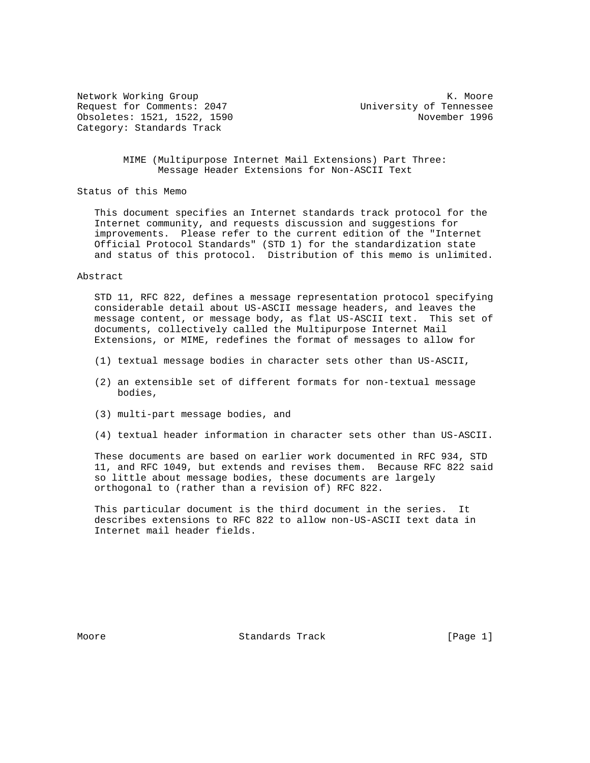Network Working Group Network Working Group Network Working Group Network Network Network Network Network Network Request for Comments: 2047 University of Tennessee Obsoletes: 1521, 1522, 1590 November 1996 Category: Standards Track

 MIME (Multipurpose Internet Mail Extensions) Part Three: Message Header Extensions for Non-ASCII Text

Status of this Memo

 This document specifies an Internet standards track protocol for the Internet community, and requests discussion and suggestions for improvements. Please refer to the current edition of the "Internet Official Protocol Standards" (STD 1) for the standardization state and status of this protocol. Distribution of this memo is unlimited.

#### Abstract

 STD 11, RFC 822, defines a message representation protocol specifying considerable detail about US-ASCII message headers, and leaves the message content, or message body, as flat US-ASCII text. This set of documents, collectively called the Multipurpose Internet Mail Extensions, or MIME, redefines the format of messages to allow for

- (1) textual message bodies in character sets other than US-ASCII,
- (2) an extensible set of different formats for non-textual message bodies,
- (3) multi-part message bodies, and
- (4) textual header information in character sets other than US-ASCII.

 These documents are based on earlier work documented in RFC 934, STD 11, and RFC 1049, but extends and revises them. Because RFC 822 said so little about message bodies, these documents are largely orthogonal to (rather than a revision of) RFC 822.

 This particular document is the third document in the series. It describes extensions to RFC 822 to allow non-US-ASCII text data in Internet mail header fields.

Moore **Standards Track** [Page 1]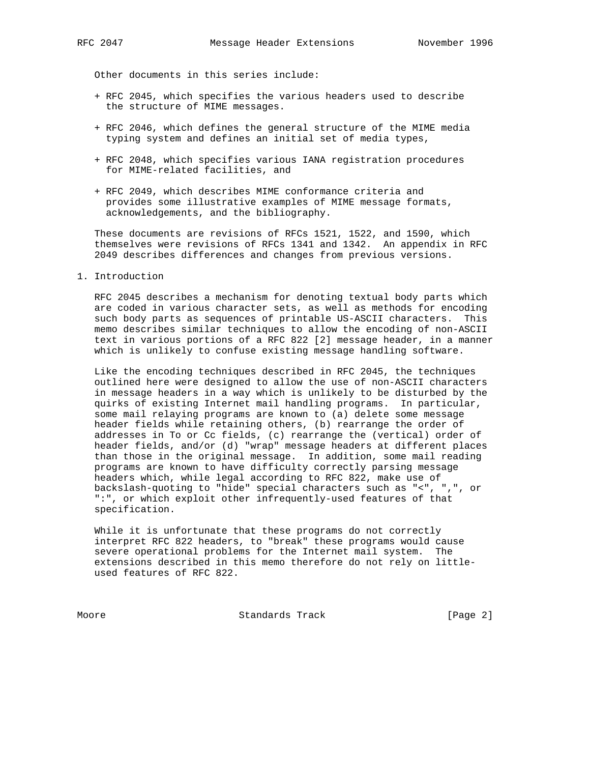Other documents in this series include:

- + RFC 2045, which specifies the various headers used to describe the structure of MIME messages.
- + RFC 2046, which defines the general structure of the MIME media typing system and defines an initial set of media types,
- + RFC 2048, which specifies various IANA registration procedures for MIME-related facilities, and
- + RFC 2049, which describes MIME conformance criteria and provides some illustrative examples of MIME message formats, acknowledgements, and the bibliography.

 These documents are revisions of RFCs 1521, 1522, and 1590, which themselves were revisions of RFCs 1341 and 1342. An appendix in RFC 2049 describes differences and changes from previous versions.

1. Introduction

 RFC 2045 describes a mechanism for denoting textual body parts which are coded in various character sets, as well as methods for encoding such body parts as sequences of printable US-ASCII characters. This memo describes similar techniques to allow the encoding of non-ASCII text in various portions of a RFC 822 [2] message header, in a manner which is unlikely to confuse existing message handling software.

 Like the encoding techniques described in RFC 2045, the techniques outlined here were designed to allow the use of non-ASCII characters in message headers in a way which is unlikely to be disturbed by the quirks of existing Internet mail handling programs. In particular, some mail relaying programs are known to (a) delete some message header fields while retaining others, (b) rearrange the order of addresses in To or Cc fields, (c) rearrange the (vertical) order of header fields, and/or (d) "wrap" message headers at different places than those in the original message. In addition, some mail reading programs are known to have difficulty correctly parsing message headers which, while legal according to RFC 822, make use of backslash-quoting to "hide" special characters such as "<", ",", or ":", or which exploit other infrequently-used features of that specification.

 While it is unfortunate that these programs do not correctly interpret RFC 822 headers, to "break" these programs would cause severe operational problems for the Internet mail system. The extensions described in this memo therefore do not rely on little used features of RFC 822.

Moore Standards Track [Page 2]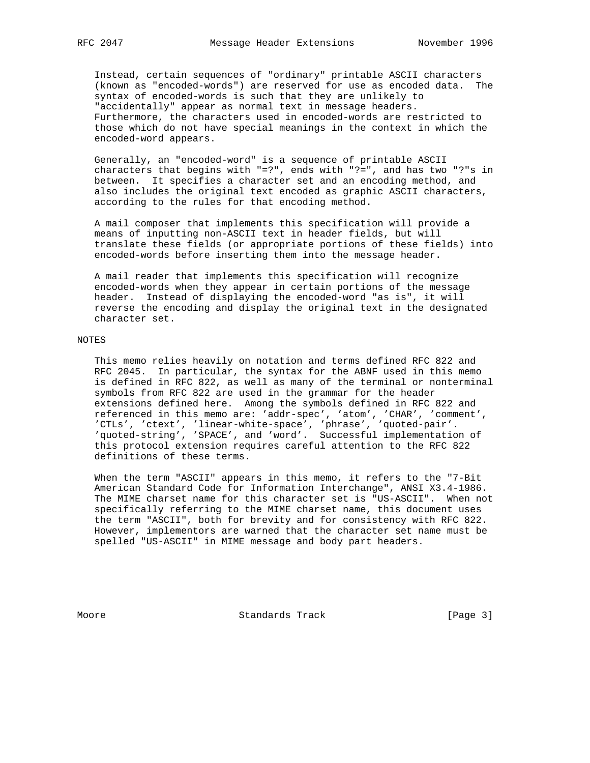Instead, certain sequences of "ordinary" printable ASCII characters (known as "encoded-words") are reserved for use as encoded data. The syntax of encoded-words is such that they are unlikely to "accidentally" appear as normal text in message headers. Furthermore, the characters used in encoded-words are restricted to those which do not have special meanings in the context in which the encoded-word appears.

 Generally, an "encoded-word" is a sequence of printable ASCII characters that begins with "=?", ends with "?=", and has two "?"s in between. It specifies a character set and an encoding method, and also includes the original text encoded as graphic ASCII characters, according to the rules for that encoding method.

 A mail composer that implements this specification will provide a means of inputting non-ASCII text in header fields, but will translate these fields (or appropriate portions of these fields) into encoded-words before inserting them into the message header.

 A mail reader that implements this specification will recognize encoded-words when they appear in certain portions of the message header. Instead of displaying the encoded-word "as is", it will reverse the encoding and display the original text in the designated character set.

## NOTES

 This memo relies heavily on notation and terms defined RFC 822 and RFC 2045. In particular, the syntax for the ABNF used in this memo is defined in RFC 822, as well as many of the terminal or nonterminal symbols from RFC 822 are used in the grammar for the header extensions defined here. Among the symbols defined in RFC 822 and referenced in this memo are: 'addr-spec', 'atom', 'CHAR', 'comment', 'CTLs', 'ctext', 'linear-white-space', 'phrase', 'quoted-pair'. 'quoted-string', 'SPACE', and 'word'. Successful implementation of this protocol extension requires careful attention to the RFC 822 definitions of these terms.

 When the term "ASCII" appears in this memo, it refers to the "7-Bit American Standard Code for Information Interchange", ANSI X3.4-1986. The MIME charset name for this character set is "US-ASCII". When not specifically referring to the MIME charset name, this document uses the term "ASCII", both for brevity and for consistency with RFC 822. However, implementors are warned that the character set name must be spelled "US-ASCII" in MIME message and body part headers.

Moore **Standards Track** [Page 3]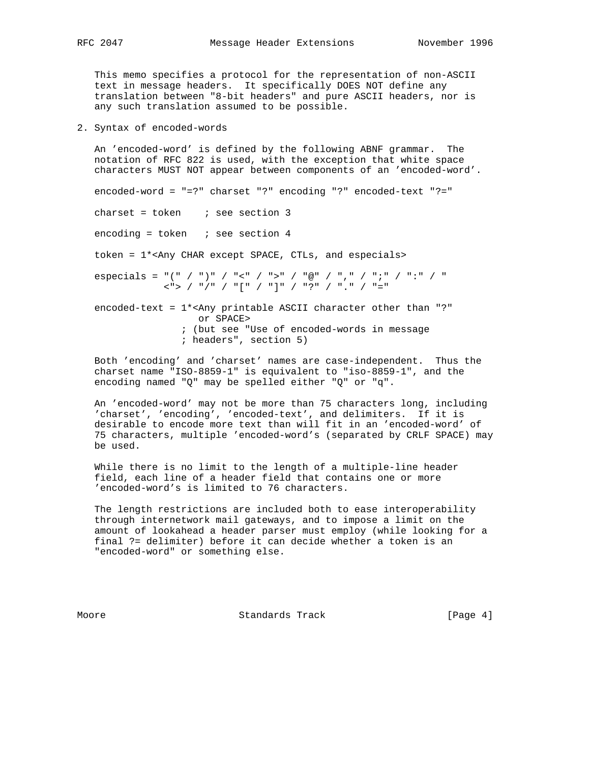This memo specifies a protocol for the representation of non-ASCII text in message headers. It specifically DOES NOT define any translation between "8-bit headers" and pure ASCII headers, nor is any such translation assumed to be possible.

2. Syntax of encoded-words

 An 'encoded-word' is defined by the following ABNF grammar. The notation of RFC 822 is used, with the exception that white space characters MUST NOT appear between components of an 'encoded-word'.

encoded-word = "=?" charset "?" encoding "?" encoded-text "?="

charset = token  $\qquad$  ; see section 3

encoding = token  $:$  see section 4

token = 1\*<Any CHAR except SPACE, CTLs, and especials>

 especials = "(" / ")" / "<" / ">" / "@" / "," / ";" / ":" / " <"> / "/" / "[" / "]" / "?" / "." / "="

 encoded-text = 1\*<Any printable ASCII character other than "?" or SPACE> ; (but see "Use of encoded-words in message

; headers", section 5)

 Both 'encoding' and 'charset' names are case-independent. Thus the charset name "ISO-8859-1" is equivalent to "iso-8859-1", and the encoding named "Q" may be spelled either "Q" or "q".

 An 'encoded-word' may not be more than 75 characters long, including 'charset', 'encoding', 'encoded-text', and delimiters. If it is desirable to encode more text than will fit in an 'encoded-word' of 75 characters, multiple 'encoded-word's (separated by CRLF SPACE) may be used.

 While there is no limit to the length of a multiple-line header field, each line of a header field that contains one or more 'encoded-word's is limited to 76 characters.

 The length restrictions are included both to ease interoperability through internetwork mail gateways, and to impose a limit on the amount of lookahead a header parser must employ (while looking for a final ?= delimiter) before it can decide whether a token is an "encoded-word" or something else.

Moore **Standards Track** [Page 4]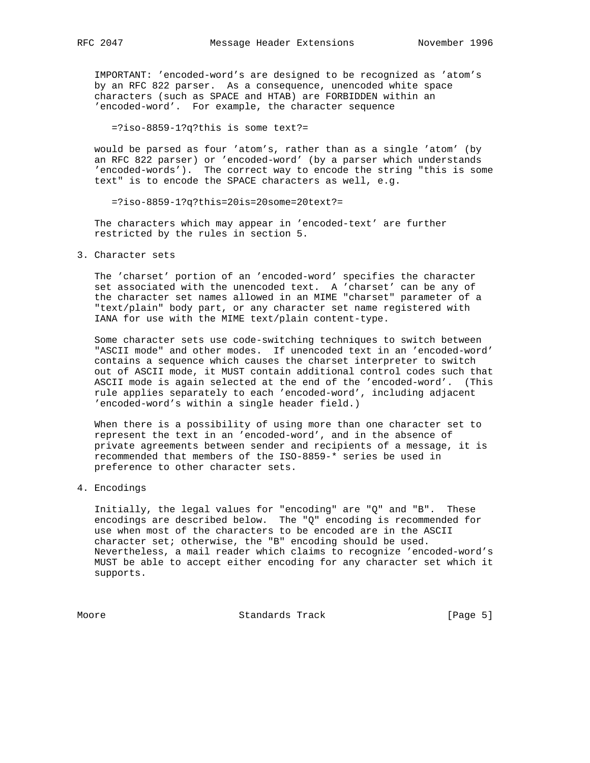IMPORTANT: 'encoded-word's are designed to be recognized as 'atom's by an RFC 822 parser. As a consequence, unencoded white space characters (such as SPACE and HTAB) are FORBIDDEN within an 'encoded-word'. For example, the character sequence

=?iso-8859-1?q?this is some text?=

 would be parsed as four 'atom's, rather than as a single 'atom' (by an RFC 822 parser) or 'encoded-word' (by a parser which understands 'encoded-words'). The correct way to encode the string "this is some text" is to encode the SPACE characters as well, e.g.

=?iso-8859-1?q?this=20is=20some=20text?=

 The characters which may appear in 'encoded-text' are further restricted by the rules in section 5.

3. Character sets

 The 'charset' portion of an 'encoded-word' specifies the character set associated with the unencoded text. A 'charset' can be any of the character set names allowed in an MIME "charset" parameter of a "text/plain" body part, or any character set name registered with IANA for use with the MIME text/plain content-type.

 Some character sets use code-switching techniques to switch between "ASCII mode" and other modes. If unencoded text in an 'encoded-word' contains a sequence which causes the charset interpreter to switch out of ASCII mode, it MUST contain additional control codes such that ASCII mode is again selected at the end of the 'encoded-word'. (This rule applies separately to each 'encoded-word', including adjacent 'encoded-word's within a single header field.)

 When there is a possibility of using more than one character set to represent the text in an 'encoded-word', and in the absence of private agreements between sender and recipients of a message, it is recommended that members of the ISO-8859-\* series be used in preference to other character sets.

# 4. Encodings

 Initially, the legal values for "encoding" are "Q" and "B". These encodings are described below. The "Q" encoding is recommended for use when most of the characters to be encoded are in the ASCII character set; otherwise, the "B" encoding should be used. Nevertheless, a mail reader which claims to recognize 'encoded-word's MUST be able to accept either encoding for any character set which it supports.

Moore **Standards Track** [Page 5]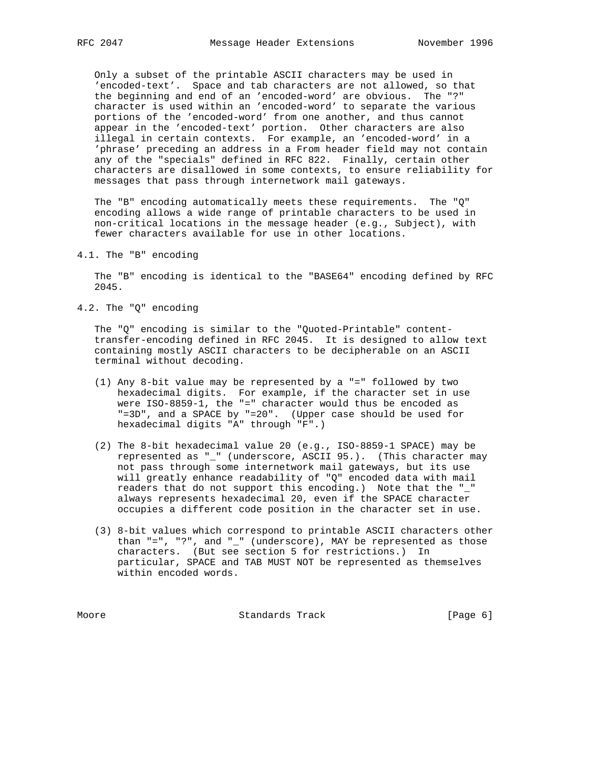Only a subset of the printable ASCII characters may be used in 'encoded-text'. Space and tab characters are not allowed, so that the beginning and end of an 'encoded-word' are obvious. The "?" character is used within an 'encoded-word' to separate the various portions of the 'encoded-word' from one another, and thus cannot appear in the 'encoded-text' portion. Other characters are also illegal in certain contexts. For example, an 'encoded-word' in a 'phrase' preceding an address in a From header field may not contain any of the "specials" defined in RFC 822. Finally, certain other characters are disallowed in some contexts, to ensure reliability for messages that pass through internetwork mail gateways.

 The "B" encoding automatically meets these requirements. The "Q" encoding allows a wide range of printable characters to be used in non-critical locations in the message header (e.g., Subject), with fewer characters available for use in other locations.

4.1. The "B" encoding

 The "B" encoding is identical to the "BASE64" encoding defined by RFC 2045.

4.2. The "Q" encoding

 The "Q" encoding is similar to the "Quoted-Printable" content transfer-encoding defined in RFC 2045. It is designed to allow text containing mostly ASCII characters to be decipherable on an ASCII terminal without decoding.

- (1) Any 8-bit value may be represented by a "=" followed by two hexadecimal digits. For example, if the character set in use were ISO-8859-1, the "=" character would thus be encoded as "=3D", and a SPACE by "=20". (Upper case should be used for hexadecimal digits "A" through "F".)
- (2) The 8-bit hexadecimal value 20 (e.g., ISO-8859-1 SPACE) may be represented as "\_" (underscore, ASCII 95.). (This character may not pass through some internetwork mail gateways, but its use will greatly enhance readability of "Q" encoded data with mail readers that do not support this encoding.) Note that the "\_" always represents hexadecimal 20, even if the SPACE character occupies a different code position in the character set in use.
- (3) 8-bit values which correspond to printable ASCII characters other than "=", "?", and "\_" (underscore), MAY be represented as those characters. (But see section 5 for restrictions.) In particular, SPACE and TAB MUST NOT be represented as themselves within encoded words.

Moore **Standards Track** [Page 6]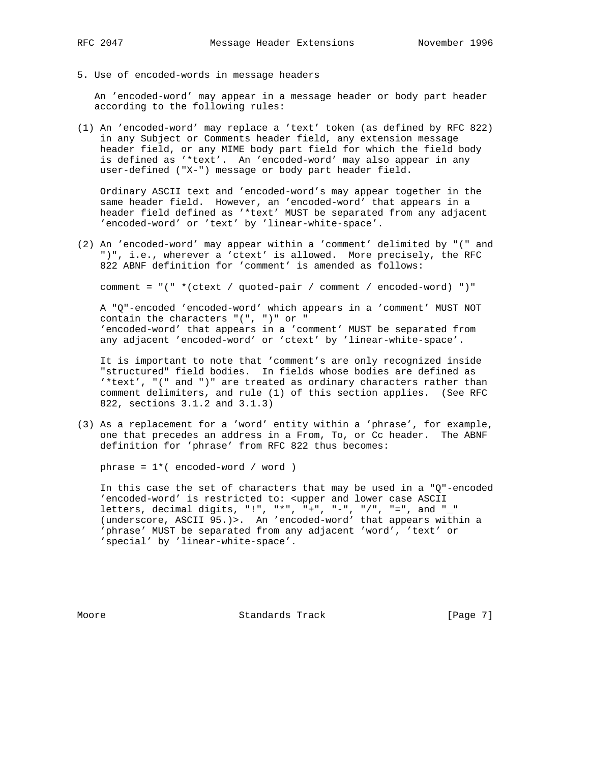5. Use of encoded-words in message headers

 An 'encoded-word' may appear in a message header or body part header according to the following rules:

(1) An 'encoded-word' may replace a 'text' token (as defined by RFC 822) in any Subject or Comments header field, any extension message header field, or any MIME body part field for which the field body is defined as '\*text'. An 'encoded-word' may also appear in any user-defined ("X-") message or body part header field.

 Ordinary ASCII text and 'encoded-word's may appear together in the same header field. However, an 'encoded-word' that appears in a header field defined as '\*text' MUST be separated from any adjacent 'encoded-word' or 'text' by 'linear-white-space'.

(2) An 'encoded-word' may appear within a 'comment' delimited by "(" and ")", i.e., wherever a 'ctext' is allowed. More precisely, the RFC 822 ABNF definition for 'comment' is amended as follows:

comment = "(" \*(ctext / quoted-pair / comment / encoded-word) ")"

 A "Q"-encoded 'encoded-word' which appears in a 'comment' MUST NOT contain the characters "(", ")" or " 'encoded-word' that appears in a 'comment' MUST be separated from any adjacent 'encoded-word' or 'ctext' by 'linear-white-space'.

 It is important to note that 'comment's are only recognized inside "structured" field bodies. In fields whose bodies are defined as '\*text', "(" and ")" are treated as ordinary characters rather than comment delimiters, and rule (1) of this section applies. (See RFC 822, sections 3.1.2 and 3.1.3)

(3) As a replacement for a 'word' entity within a 'phrase', for example, one that precedes an address in a From, To, or Cc header. The ABNF definition for 'phrase' from RFC 822 thus becomes:

phrase = 1\*( encoded-word / word )

 In this case the set of characters that may be used in a "Q"-encoded 'encoded-word' is restricted to: <upper and lower case ASCII letters, decimal digits, "!", "\*", "+", "-", "/", "=", and "\_" (underscore, ASCII 95.)>. An 'encoded-word' that appears within a 'phrase' MUST be separated from any adjacent 'word', 'text' or 'special' by 'linear-white-space'.

Moore **Standards Track** [Page 7]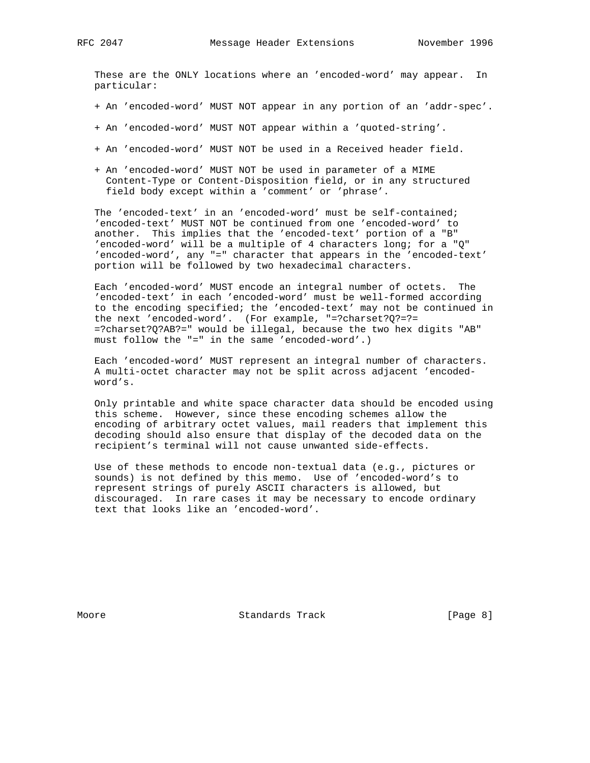These are the ONLY locations where an 'encoded-word' may appear. In particular:

- + An 'encoded-word' MUST NOT appear in any portion of an 'addr-spec'.
- + An 'encoded-word' MUST NOT appear within a 'quoted-string'.
- + An 'encoded-word' MUST NOT be used in a Received header field.
- + An 'encoded-word' MUST NOT be used in parameter of a MIME Content-Type or Content-Disposition field, or in any structured field body except within a 'comment' or 'phrase'.

 The 'encoded-text' in an 'encoded-word' must be self-contained; 'encoded-text' MUST NOT be continued from one 'encoded-word' to another. This implies that the 'encoded-text' portion of a "B" 'encoded-word' will be a multiple of 4 characters long; for a "Q" 'encoded-word', any "=" character that appears in the 'encoded-text' portion will be followed by two hexadecimal characters.

 Each 'encoded-word' MUST encode an integral number of octets. The 'encoded-text' in each 'encoded-word' must be well-formed according to the encoding specified; the 'encoded-text' may not be continued in the next 'encoded-word'. (For example, "=?charset?Q?=?= =?charset?Q?AB?=" would be illegal, because the two hex digits "AB" must follow the "=" in the same 'encoded-word'.)

 Each 'encoded-word' MUST represent an integral number of characters. A multi-octet character may not be split across adjacent 'encoded word's.

 Only printable and white space character data should be encoded using this scheme. However, since these encoding schemes allow the encoding of arbitrary octet values, mail readers that implement this decoding should also ensure that display of the decoded data on the recipient's terminal will not cause unwanted side-effects.

 Use of these methods to encode non-textual data (e.g., pictures or sounds) is not defined by this memo. Use of 'encoded-word's to represent strings of purely ASCII characters is allowed, but discouraged. In rare cases it may be necessary to encode ordinary text that looks like an 'encoded-word'.

Moore **Standards Track** [Page 8]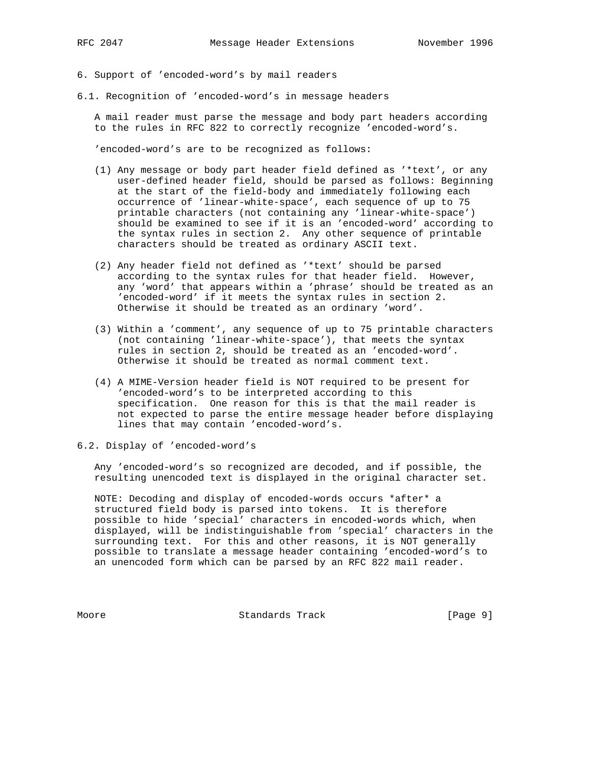6. Support of 'encoded-word's by mail readers

6.1. Recognition of 'encoded-word's in message headers

 A mail reader must parse the message and body part headers according to the rules in RFC 822 to correctly recognize 'encoded-word's.

'encoded-word's are to be recognized as follows:

- (1) Any message or body part header field defined as '\*text', or any user-defined header field, should be parsed as follows: Beginning at the start of the field-body and immediately following each occurrence of 'linear-white-space', each sequence of up to 75 printable characters (not containing any 'linear-white-space') should be examined to see if it is an 'encoded-word' according to the syntax rules in section 2. Any other sequence of printable characters should be treated as ordinary ASCII text.
- (2) Any header field not defined as '\*text' should be parsed according to the syntax rules for that header field. However, any 'word' that appears within a 'phrase' should be treated as an 'encoded-word' if it meets the syntax rules in section 2. Otherwise it should be treated as an ordinary 'word'.
- (3) Within a 'comment', any sequence of up to 75 printable characters (not containing 'linear-white-space'), that meets the syntax rules in section 2, should be treated as an 'encoded-word'. Otherwise it should be treated as normal comment text.
- (4) A MIME-Version header field is NOT required to be present for 'encoded-word's to be interpreted according to this specification. One reason for this is that the mail reader is not expected to parse the entire message header before displaying lines that may contain 'encoded-word's.
- 6.2. Display of 'encoded-word's

 Any 'encoded-word's so recognized are decoded, and if possible, the resulting unencoded text is displayed in the original character set.

 NOTE: Decoding and display of encoded-words occurs \*after\* a structured field body is parsed into tokens. It is therefore possible to hide 'special' characters in encoded-words which, when displayed, will be indistinguishable from 'special' characters in the surrounding text. For this and other reasons, it is NOT generally possible to translate a message header containing 'encoded-word's to an unencoded form which can be parsed by an RFC 822 mail reader.

Moore **Standards Track** [Page 9]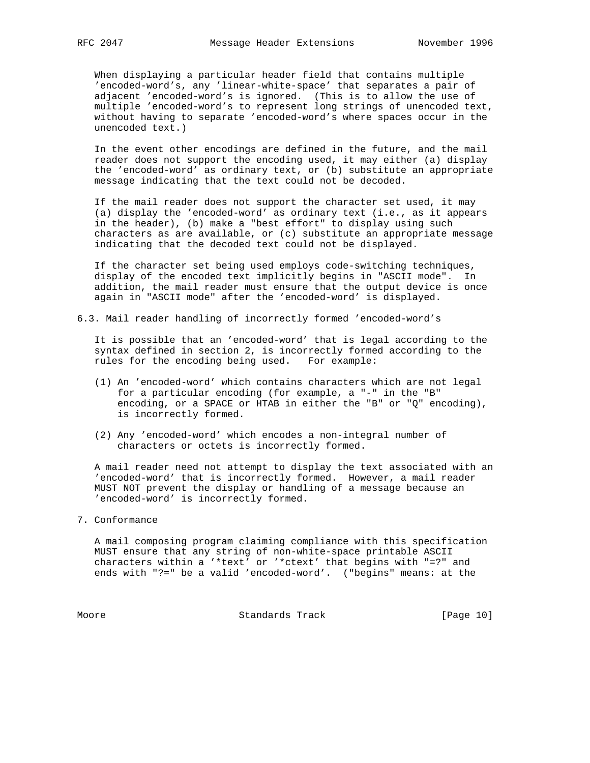When displaying a particular header field that contains multiple 'encoded-word's, any 'linear-white-space' that separates a pair of adjacent 'encoded-word's is ignored. (This is to allow the use of multiple 'encoded-word's to represent long strings of unencoded text, without having to separate 'encoded-word's where spaces occur in the unencoded text.)

 In the event other encodings are defined in the future, and the mail reader does not support the encoding used, it may either (a) display the 'encoded-word' as ordinary text, or (b) substitute an appropriate message indicating that the text could not be decoded.

 If the mail reader does not support the character set used, it may (a) display the 'encoded-word' as ordinary text (i.e., as it appears in the header), (b) make a "best effort" to display using such characters as are available, or (c) substitute an appropriate message indicating that the decoded text could not be displayed.

 If the character set being used employs code-switching techniques, display of the encoded text implicitly begins in "ASCII mode". In addition, the mail reader must ensure that the output device is once again in "ASCII mode" after the 'encoded-word' is displayed.

6.3. Mail reader handling of incorrectly formed 'encoded-word's

 It is possible that an 'encoded-word' that is legal according to the syntax defined in section 2, is incorrectly formed according to the rules for the encoding being used. For example:

- (1) An 'encoded-word' which contains characters which are not legal for a particular encoding (for example, a "-" in the "B" encoding, or a SPACE or HTAB in either the "B" or "Q" encoding), is incorrectly formed.
- (2) Any 'encoded-word' which encodes a non-integral number of characters or octets is incorrectly formed.

 A mail reader need not attempt to display the text associated with an 'encoded-word' that is incorrectly formed. However, a mail reader MUST NOT prevent the display or handling of a message because an 'encoded-word' is incorrectly formed.

## 7. Conformance

 A mail composing program claiming compliance with this specification MUST ensure that any string of non-white-space printable ASCII characters within a '\*text' or '\*ctext' that begins with "=?" and ends with "?=" be a valid 'encoded-word'. ("begins" means: at the

Moore Standards Track [Page 10]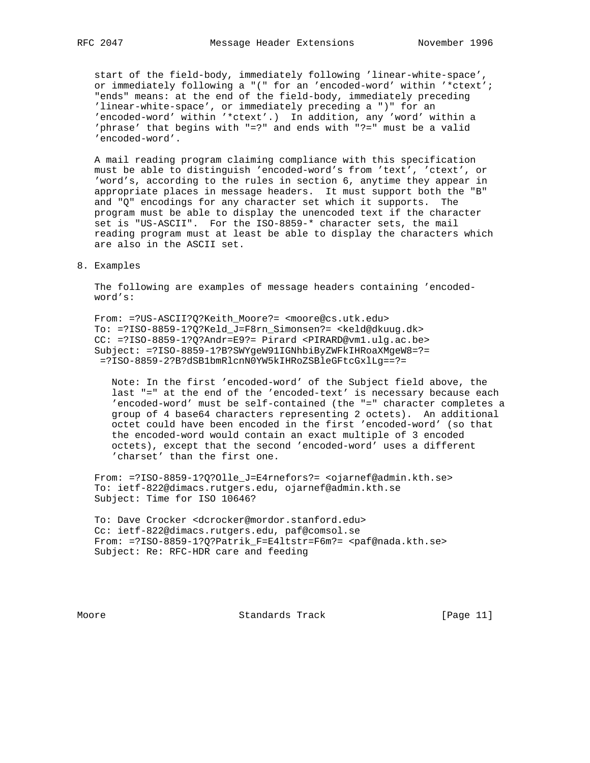start of the field-body, immediately following 'linear-white-space', or immediately following a "(" for an 'encoded-word' within '\*ctext'; "ends" means: at the end of the field-body, immediately preceding 'linear-white-space', or immediately preceding a ")" for an 'encoded-word' within '\*ctext'.) In addition, any 'word' within a 'phrase' that begins with "=?" and ends with "?=" must be a valid 'encoded-word'.

 A mail reading program claiming compliance with this specification must be able to distinguish 'encoded-word's from 'text', 'ctext', or 'word's, according to the rules in section 6, anytime they appear in appropriate places in message headers. It must support both the "B" and "Q" encodings for any character set which it supports. The program must be able to display the unencoded text if the character set is "US-ASCII". For the ISO-8859-\* character sets, the mail reading program must at least be able to display the characters which are also in the ASCII set.

8. Examples

 The following are examples of message headers containing 'encoded word's:

 From: =?US-ASCII?Q?Keith\_Moore?= <moore@cs.utk.edu> To: =?ISO-8859-1?Q?Keld\_J=F8rn\_Simonsen?= <keld@dkuug.dk> CC: =?ISO-8859-1?Q?Andr=E9?= Pirard <PIRARD@vm1.ulg.ac.be> Subject: =?ISO-8859-1?B?SWYgeW91IGNhbiByZWFkIHRoaXMgeW8=?= =?ISO-8859-2?B?dSB1bmRlcnN0YW5kIHRoZSBleGFtcGxlLg==?=

 Note: In the first 'encoded-word' of the Subject field above, the last "=" at the end of the 'encoded-text' is necessary because each 'encoded-word' must be self-contained (the "=" character completes a group of 4 base64 characters representing 2 octets). An additional octet could have been encoded in the first 'encoded-word' (so that the encoded-word would contain an exact multiple of 3 encoded octets), except that the second 'encoded-word' uses a different 'charset' than the first one.

 From: =?ISO-8859-1?Q?Olle\_J=E4rnefors?= <ojarnef@admin.kth.se> To: ietf-822@dimacs.rutgers.edu, ojarnef@admin.kth.se Subject: Time for ISO 10646?

 To: Dave Crocker <dcrocker@mordor.stanford.edu> Cc: ietf-822@dimacs.rutgers.edu, paf@comsol.se From: =?ISO-8859-1?Q?Patrik\_F=E4ltstr=F6m?= <paf@nada.kth.se> Subject: Re: RFC-HDR care and feeding

Moore Standards Track [Page 11]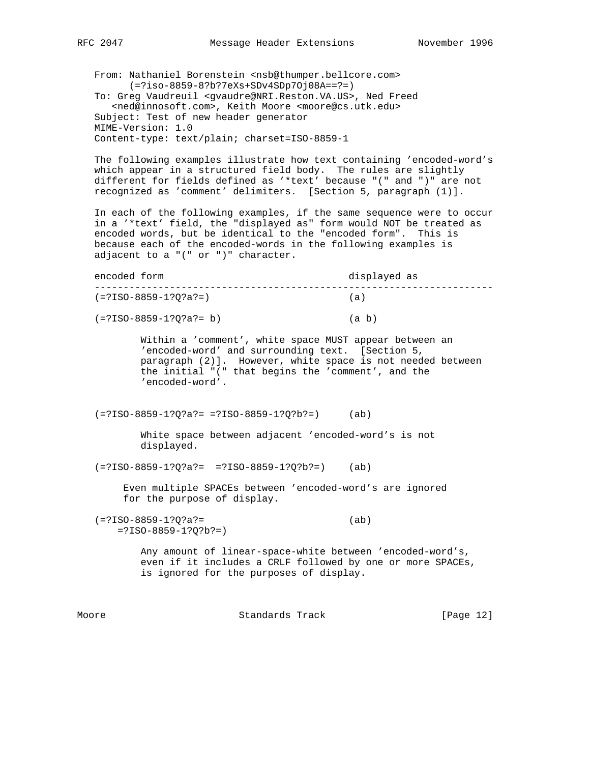From: Nathaniel Borenstein <nsb@thumper.bellcore.com> (=?iso-8859-8?b?7eXs+SDv4SDp7Oj08A==?=)

 To: Greg Vaudreuil <gvaudre@NRI.Reston.VA.US>, Ned Freed <ned@innosoft.com>, Keith Moore <moore@cs.utk.edu> Subject: Test of new header generator MIME-Version: 1.0 Content-type: text/plain; charset=ISO-8859-1

 The following examples illustrate how text containing 'encoded-word's which appear in a structured field body. The rules are slightly different for fields defined as '\*text' because "(" and ")" are not recognized as 'comment' delimiters. [Section 5, paragraph (1)].

 In each of the following examples, if the same sequence were to occur in a '\*text' field, the "displayed as" form would NOT be treated as encoded words, but be identical to the "encoded form". This is because each of the encoded-words in the following examples is adjacent to a "(" or ")" character.

 encoded form displayed as --------------------------------------------------------------------- (=?ISO-8859-1?Q?a?=) (a)

(=?ISO-8859-1?Q?a?= b) (a b)

 Within a 'comment', white space MUST appear between an 'encoded-word' and surrounding text. [Section 5, paragraph (2)]. However, white space is not needed between the initial "(" that begins the 'comment', and the 'encoded-word'.

 $(=?ISO-8859-1?Q?a?= ?ISO-8859-1?Q?b?=)$  (ab)

 White space between adjacent 'encoded-word's is not displayed.

(=?ISO-8859-1?Q?a?= =?ISO-8859-1?Q?b?=) (ab)

 Even multiple SPACEs between 'encoded-word's are ignored for the purpose of display.

 (=?ISO-8859-1?Q?a?= (ab) =?ISO-8859-1?Q?b?=)

> Any amount of linear-space-white between 'encoded-word's, even if it includes a CRLF followed by one or more SPACEs, is ignored for the purposes of display.

Moore Standards Track [Page 12]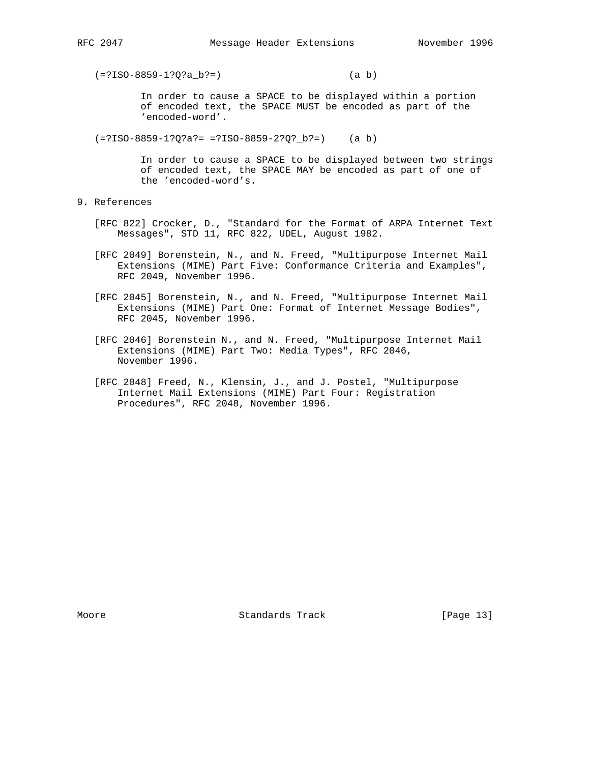(=?ISO-8859-1?Q?a\_b?=) (a b)

 In order to cause a SPACE to be displayed within a portion of encoded text, the SPACE MUST be encoded as part of the 'encoded-word'.

(=?ISO-8859-1?Q?a?= =?ISO-8859-2?Q?\_b?=) (a b)

 In order to cause a SPACE to be displayed between two strings of encoded text, the SPACE MAY be encoded as part of one of the 'encoded-word's.

- 9. References
	- [RFC 822] Crocker, D., "Standard for the Format of ARPA Internet Text Messages", STD 11, RFC 822, UDEL, August 1982.
	- [RFC 2049] Borenstein, N., and N. Freed, "Multipurpose Internet Mail Extensions (MIME) Part Five: Conformance Criteria and Examples", RFC 2049, November 1996.
	- [RFC 2045] Borenstein, N., and N. Freed, "Multipurpose Internet Mail Extensions (MIME) Part One: Format of Internet Message Bodies", RFC 2045, November 1996.
	- [RFC 2046] Borenstein N., and N. Freed, "Multipurpose Internet Mail Extensions (MIME) Part Two: Media Types", RFC 2046, November 1996.
	- [RFC 2048] Freed, N., Klensin, J., and J. Postel, "Multipurpose Internet Mail Extensions (MIME) Part Four: Registration Procedures", RFC 2048, November 1996.

Moore Standards Track [Page 13]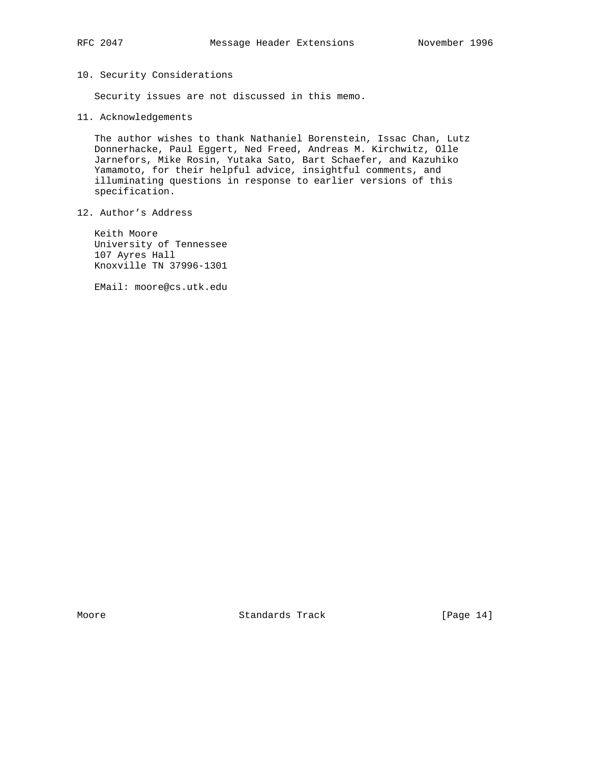# 10. Security Considerations

Security issues are not discussed in this memo.

11. Acknowledgements

 The author wishes to thank Nathaniel Borenstein, Issac Chan, Lutz Donnerhacke, Paul Eggert, Ned Freed, Andreas M. Kirchwitz, Olle Jarnefors, Mike Rosin, Yutaka Sato, Bart Schaefer, and Kazuhiko Yamamoto, for their helpful advice, insightful comments, and illuminating questions in response to earlier versions of this specification.

12. Author's Address

 Keith Moore University of Tennessee 107 Ayres Hall Knoxville TN 37996-1301

EMail: moore@cs.utk.edu

Moore Standards Track [Page 14]